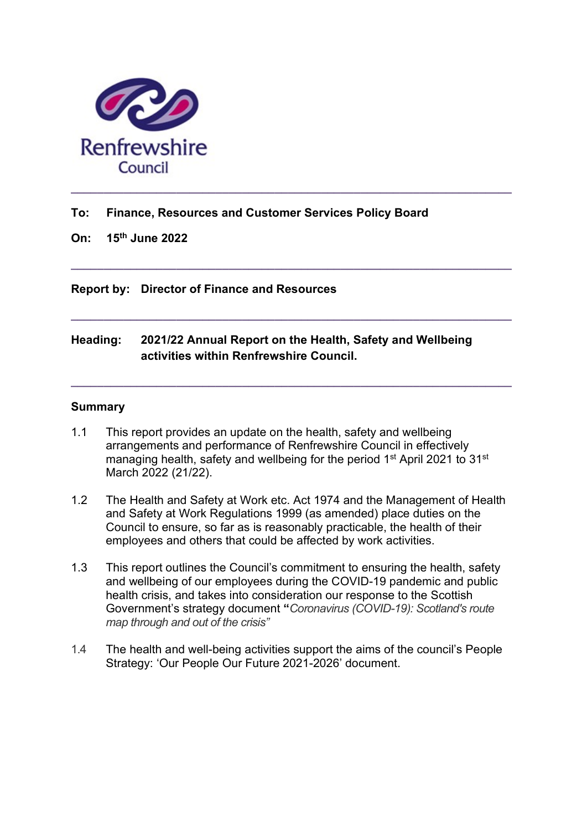

### To: Finance, Resources and Customer Services Policy Board

On: 15th June 2022

Report by: Director of Finance and Resources

## Heading: 2021/22 Annual Report on the Health, Safety and Wellbeing activities within Renfrewshire Council.

 $\_$  ,  $\_$  ,  $\_$  ,  $\_$  ,  $\_$  ,  $\_$  ,  $\_$  ,  $\_$  ,  $\_$  ,  $\_$  ,  $\_$  ,  $\_$  ,  $\_$  ,  $\_$  ,  $\_$  ,  $\_$  ,  $\_$  ,  $\_$  ,  $\_$ 

 $\_$  ,  $\_$  ,  $\_$  ,  $\_$  ,  $\_$  ,  $\_$  ,  $\_$  ,  $\_$  ,  $\_$  ,  $\_$  ,  $\_$  ,  $\_$  ,  $\_$  ,  $\_$  ,  $\_$  ,  $\_$  ,  $\_$  ,  $\_$  ,  $\_$ 

 $\_$  , and the set of the set of the set of the set of the set of the set of the set of the set of the set of the set of the set of the set of the set of the set of the set of the set of the set of the set of the set of th

#### **Summary**

- 1.1 This report provides an update on the health, safety and wellbeing arrangements and performance of Renfrewshire Council in effectively managing health, safety and wellbeing for the period 1<sup>st</sup> April 2021 to 31<sup>st</sup> March 2022 (21/22).
- 1.2 The Health and Safety at Work etc. Act 1974 and the Management of Health and Safety at Work Regulations 1999 (as amended) place duties on the Council to ensure, so far as is reasonably practicable, the health of their employees and others that could be affected by work activities.
- 1.3 This report outlines the Council's commitment to ensuring the health, safety and wellbeing of our employees during the COVID-19 pandemic and public health crisis, and takes into consideration our response to the Scottish Government's strategy document "Coronavirus (COVID-19): Scotland's route map through and out of the crisis"
- 1.4 The health and well-being activities support the aims of the council's People Strategy: 'Our People Our Future 2021-2026' document.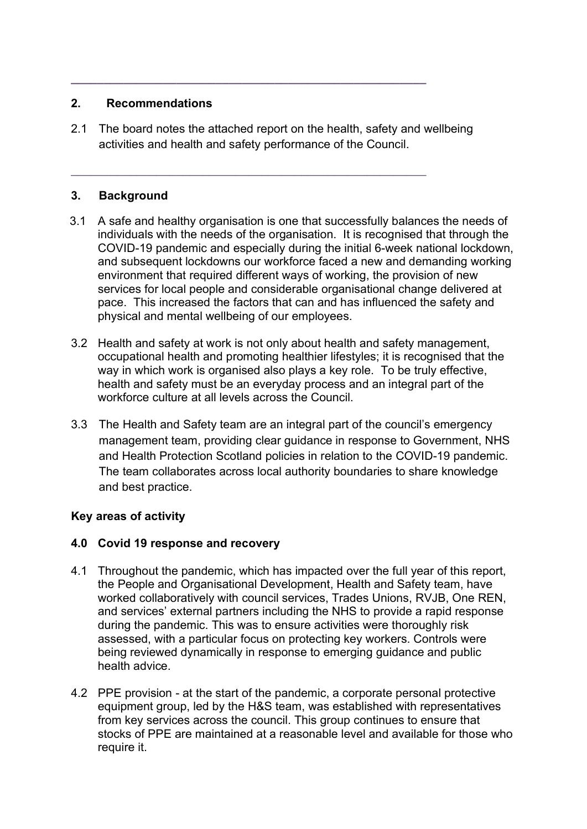## 2. Recommendations

2.1 The board notes the attached report on the health, safety and wellbeing activities and health and safety performance of the Council.

 $\_$  ,  $\_$  ,  $\_$  ,  $\_$  ,  $\_$  ,  $\_$  ,  $\_$  ,  $\_$  ,  $\_$  ,  $\_$  ,  $\_$  ,  $\_$  ,  $\_$  ,  $\_$  ,  $\_$  ,  $\_$ 

 $\mathcal{L}_\text{max}$  , and the contribution of the contribution of  $\mathcal{L}_\text{max}$ 

## 3. Background

- 3.1 A safe and healthy organisation is one that successfully balances the needs of individuals with the needs of the organisation. It is recognised that through the COVID-19 pandemic and especially during the initial 6-week national lockdown, and subsequent lockdowns our workforce faced a new and demanding working environment that required different ways of working, the provision of new services for local people and considerable organisational change delivered at pace. This increased the factors that can and has influenced the safety and physical and mental wellbeing of our employees.
- 3.2 Health and safety at work is not only about health and safety management, occupational health and promoting healthier lifestyles; it is recognised that the way in which work is organised also plays a key role. To be truly effective, health and safety must be an everyday process and an integral part of the workforce culture at all levels across the Council.
- 3.3 The Health and Safety team are an integral part of the council's emergency management team, providing clear guidance in response to Government, NHS and Health Protection Scotland policies in relation to the COVID-19 pandemic. The team collaborates across local authority boundaries to share knowledge and best practice.

# Key areas of activity

#### 4.0 Covid 19 response and recovery

- 4.1 Throughout the pandemic, which has impacted over the full year of this report, the People and Organisational Development, Health and Safety team, have worked collaboratively with council services, Trades Unions, RVJB, One REN, and services' external partners including the NHS to provide a rapid response during the pandemic. This was to ensure activities were thoroughly risk assessed, with a particular focus on protecting key workers. Controls were being reviewed dynamically in response to emerging guidance and public health advice.
- 4.2 PPE provision at the start of the pandemic, a corporate personal protective equipment group, led by the H&S team, was established with representatives from key services across the council. This group continues to ensure that stocks of PPE are maintained at a reasonable level and available for those who require it.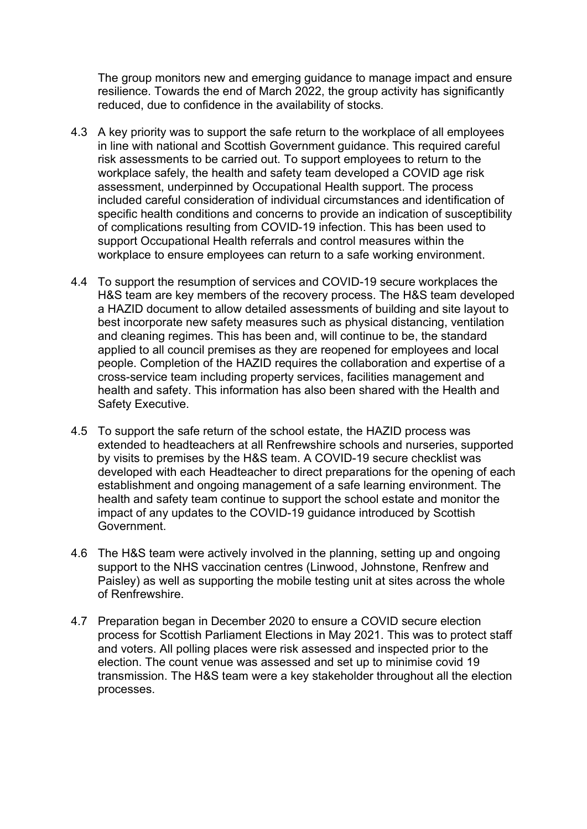The group monitors new and emerging guidance to manage impact and ensure resilience. Towards the end of March 2022, the group activity has significantly reduced, due to confidence in the availability of stocks.

- 4.3 A key priority was to support the safe return to the workplace of all employees in line with national and Scottish Government guidance. This required careful risk assessments to be carried out. To support employees to return to the workplace safely, the health and safety team developed a COVID age risk assessment, underpinned by Occupational Health support. The process included careful consideration of individual circumstances and identification of specific health conditions and concerns to provide an indication of susceptibility of complications resulting from COVID-19 infection. This has been used to support Occupational Health referrals and control measures within the workplace to ensure employees can return to a safe working environment.
- 4.4 To support the resumption of services and COVID-19 secure workplaces the H&S team are key members of the recovery process. The H&S team developed a HAZID document to allow detailed assessments of building and site layout to best incorporate new safety measures such as physical distancing, ventilation and cleaning regimes. This has been and, will continue to be, the standard applied to all council premises as they are reopened for employees and local people. Completion of the HAZID requires the collaboration and expertise of a cross-service team including property services, facilities management and health and safety. This information has also been shared with the Health and Safety Executive.
- 4.5 To support the safe return of the school estate, the HAZID process was extended to headteachers at all Renfrewshire schools and nurseries, supported by visits to premises by the H&S team. A COVID-19 secure checklist was developed with each Headteacher to direct preparations for the opening of each establishment and ongoing management of a safe learning environment. The health and safety team continue to support the school estate and monitor the impact of any updates to the COVID-19 guidance introduced by Scottish Government.
- 4.6 The H&S team were actively involved in the planning, setting up and ongoing support to the NHS vaccination centres (Linwood, Johnstone, Renfrew and Paisley) as well as supporting the mobile testing unit at sites across the whole of Renfrewshire.
- 4.7 Preparation began in December 2020 to ensure a COVID secure election process for Scottish Parliament Elections in May 2021. This was to protect staff and voters. All polling places were risk assessed and inspected prior to the election. The count venue was assessed and set up to minimise covid 19 transmission. The H&S team were a key stakeholder throughout all the election processes.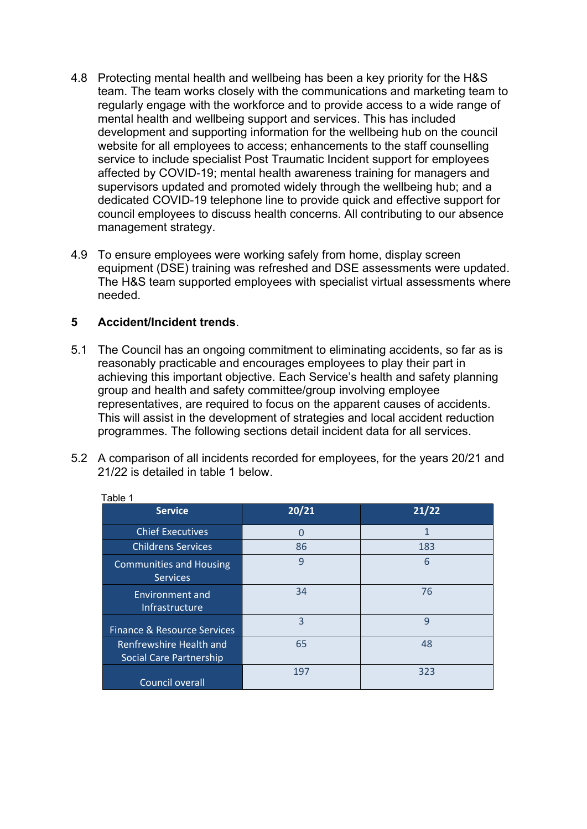- 4.8 Protecting mental health and wellbeing has been a key priority for the H&S team. The team works closely with the communications and marketing team to regularly engage with the workforce and to provide access to a wide range of mental health and wellbeing support and services. This has included development and supporting information for the wellbeing hub on the council website for all employees to access; enhancements to the staff counselling service to include specialist Post Traumatic Incident support for employees affected by COVID-19; mental health awareness training for managers and supervisors updated and promoted widely through the wellbeing hub; and a dedicated COVID-19 telephone line to provide quick and effective support for council employees to discuss health concerns. All contributing to our absence management strategy.
- 4.9 To ensure employees were working safely from home, display screen equipment (DSE) training was refreshed and DSE assessments were updated. The H&S team supported employees with specialist virtual assessments where needed.

### 5 Accident/Incident trends.

- 5.1 The Council has an ongoing commitment to eliminating accidents, so far as is reasonably practicable and encourages employees to play their part in achieving this important objective. Each Service's health and safety planning group and health and safety committee/group involving employee representatives, are required to focus on the apparent causes of accidents. This will assist in the development of strategies and local accident reduction programmes. The following sections detail incident data for all services.
- 5.2 A comparison of all incidents recorded for employees, for the years 20/21 and 21/22 is detailed in table 1 below.

| ו שוטו                                             |       |       |
|----------------------------------------------------|-------|-------|
| <b>Service</b>                                     | 20/21 | 21/22 |
| <b>Chief Executives</b>                            | O     | 1     |
| <b>Childrens Services</b>                          | 86    | 183   |
| <b>Communities and Housing</b><br><b>Services</b>  | 9     | 6     |
| <b>Environment and</b><br><b>Infrastructure</b>    | 34    | 76    |
| Finance & Resource Services                        | 3     | 9     |
| Renfrewshire Health and<br>Social Care Partnership | 65    | 48    |
| Council overall                                    | 197   | 323   |

Table 1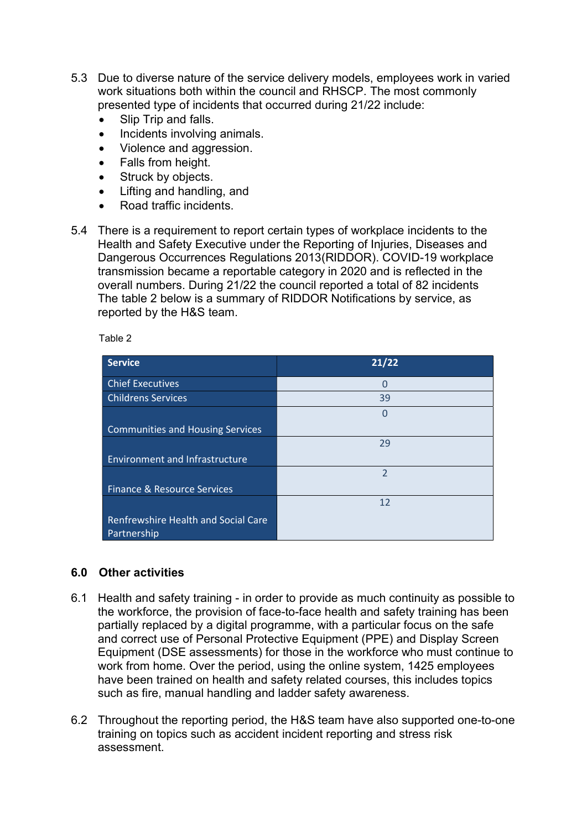- 5.3 Due to diverse nature of the service delivery models, employees work in varied work situations both within the council and RHSCP. The most commonly presented type of incidents that occurred during 21/22 include:
	- Slip Trip and falls.
	- Incidents involving animals.
	- Violence and aggression.
	- Falls from height.
	- Struck by objects.
	- Lifting and handling, and
	- Road traffic incidents.
- 5.4 There is a requirement to report certain types of workplace incidents to the Health and Safety Executive under the Reporting of Injuries, Diseases and Dangerous Occurrences Regulations 2013(RIDDOR). COVID-19 workplace transmission became a reportable category in 2020 and is reflected in the overall numbers. During 21/22 the council reported a total of 82 incidents The table 2 below is a summary of RIDDOR Notifications by service, as reported by the H&S team.

Table 2

| <b>Service</b>                                     | 21/22          |
|----------------------------------------------------|----------------|
| <b>Chief Executives</b>                            | $\Omega$       |
| <b>Childrens Services</b>                          | 39             |
|                                                    | $\Omega$       |
| <b>Communities and Housing Services</b>            |                |
|                                                    | 29             |
| <b>Environment and Infrastructure</b>              |                |
|                                                    | $\overline{2}$ |
| <b>Finance &amp; Resource Services</b>             |                |
|                                                    | 12             |
| Renfrewshire Health and Social Care<br>Partnership |                |

#### 6.0 Other activities

- 6.1 Health and safety training in order to provide as much continuity as possible to the workforce, the provision of face-to-face health and safety training has been partially replaced by a digital programme, with a particular focus on the safe and correct use of Personal Protective Equipment (PPE) and Display Screen Equipment (DSE assessments) for those in the workforce who must continue to work from home. Over the period, using the online system, 1425 employees have been trained on health and safety related courses, this includes topics such as fire, manual handling and ladder safety awareness.
- 6.2 Throughout the reporting period, the H&S team have also supported one-to-one training on topics such as accident incident reporting and stress risk assessment.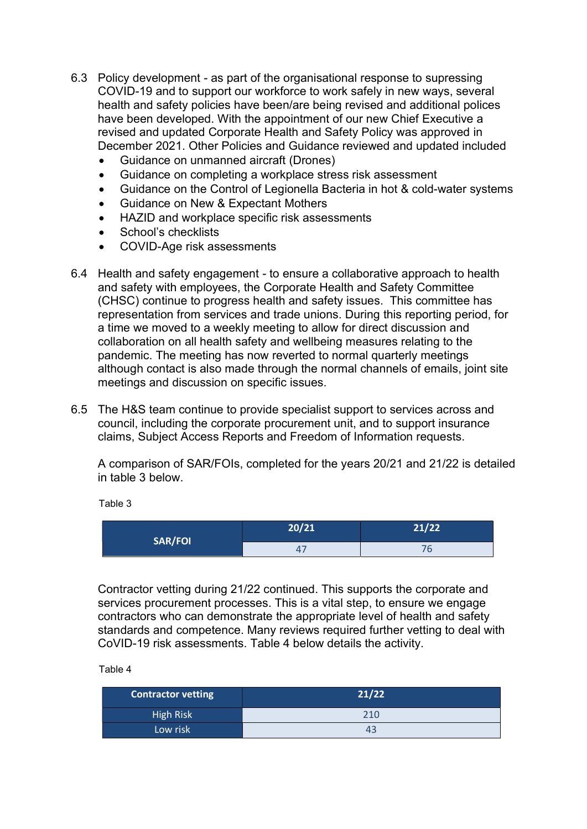- 6.3 Policy development as part of the organisational response to supressing COVID-19 and to support our workforce to work safely in new ways, several health and safety policies have been/are being revised and additional polices have been developed. With the appointment of our new Chief Executive a revised and updated Corporate Health and Safety Policy was approved in December 2021. Other Policies and Guidance reviewed and updated included
	- Guidance on unmanned aircraft (Drones)
	- Guidance on completing a workplace stress risk assessment
	- Guidance on the Control of Legionella Bacteria in hot & cold-water systems
	- Guidance on New & Expectant Mothers
	- HAZID and workplace specific risk assessments
	- School's checklists
	- COVID-Age risk assessments
- 6.4 Health and safety engagement to ensure a collaborative approach to health and safety with employees, the Corporate Health and Safety Committee (CHSC) continue to progress health and safety issues. This committee has representation from services and trade unions. During this reporting period, for a time we moved to a weekly meeting to allow for direct discussion and collaboration on all health safety and wellbeing measures relating to the pandemic. The meeting has now reverted to normal quarterly meetings although contact is also made through the normal channels of emails, joint site meetings and discussion on specific issues.
- 6.5 The H&S team continue to provide specialist support to services across and council, including the corporate procurement unit, and to support insurance claims, Subject Access Reports and Freedom of Information requests.

 A comparison of SAR/FOIs, completed for the years 20/21 and 21/22 is detailed in table 3 below.

Table 3

| <b>SAR/FOI</b> | 20/21 | 21/22 |
|----------------|-------|-------|
|                | . .   | v     |

Contractor vetting during 21/22 continued. This supports the corporate and services procurement processes. This is a vital step, to ensure we engage contractors who can demonstrate the appropriate level of health and safety standards and competence. Many reviews required further vetting to deal with CoVID-19 risk assessments. Table 4 below details the activity.

Table 4

| <b>Contractor vetting</b> | 21/22 |
|---------------------------|-------|
| <b>High Risk</b>          | 210   |
| Low risk                  | 43    |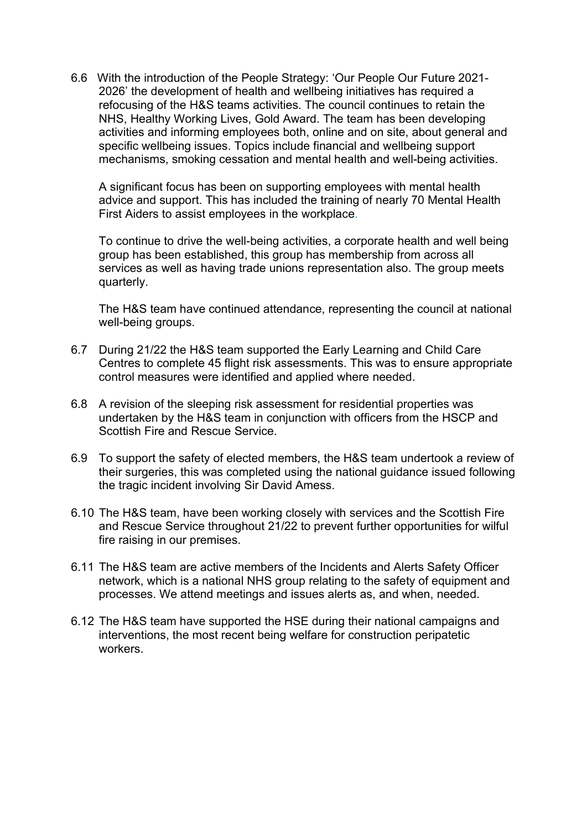6.6 With the introduction of the People Strategy: 'Our People Our Future 2021- 2026' the development of health and wellbeing initiatives has required a refocusing of the H&S teams activities. The council continues to retain the NHS, Healthy Working Lives, Gold Award. The team has been developing activities and informing employees both, online and on site, about general and specific wellbeing issues. Topics include financial and wellbeing support mechanisms, smoking cessation and mental health and well-being activities.

A significant focus has been on supporting employees with mental health advice and support. This has included the training of nearly 70 Mental Health First Aiders to assist employees in the workplace.

To continue to drive the well-being activities, a corporate health and well being group has been established, this group has membership from across all services as well as having trade unions representation also. The group meets quarterly.

 The H&S team have continued attendance, representing the council at national well-being groups.

- 6.7 During 21/22 the H&S team supported the Early Learning and Child Care Centres to complete 45 flight risk assessments. This was to ensure appropriate control measures were identified and applied where needed.
- 6.8 A revision of the sleeping risk assessment for residential properties was undertaken by the H&S team in conjunction with officers from the HSCP and Scottish Fire and Rescue Service.
- 6.9 To support the safety of elected members, the H&S team undertook a review of their surgeries, this was completed using the national guidance issued following the tragic incident involving Sir David Amess.
- 6.10 The H&S team, have been working closely with services and the Scottish Fire and Rescue Service throughout 21/22 to prevent further opportunities for wilful fire raising in our premises.
- 6.11 The H&S team are active members of the Incidents and Alerts Safety Officer network, which is a national NHS group relating to the safety of equipment and processes. We attend meetings and issues alerts as, and when, needed.
- 6.12 The H&S team have supported the HSE during their national campaigns and interventions, the most recent being welfare for construction peripatetic workers.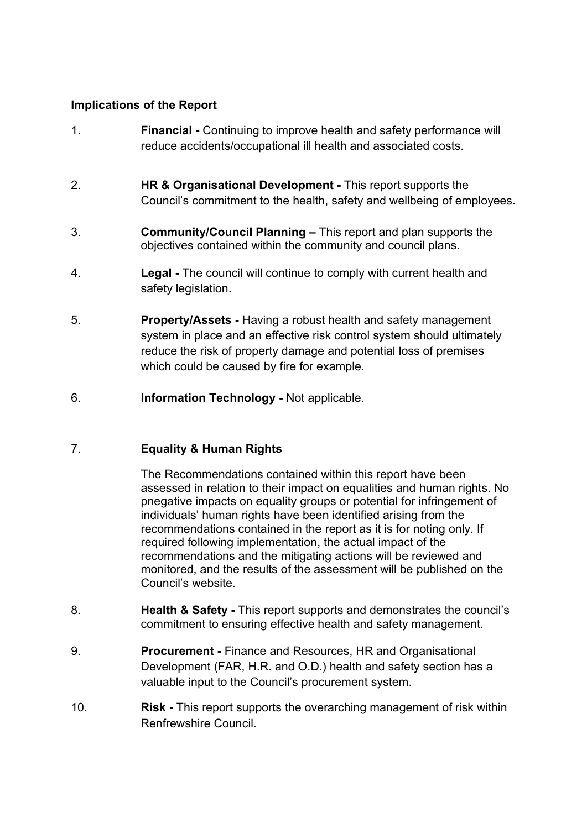### Implications of the Report

- 1. Financial Continuing to improve health and safety performance will reduce accidents/occupational ill health and associated costs.
- 2. HR & Organisational Development This report supports the Council's commitment to the health, safety and wellbeing of employees.
- 3. Community/Council Planning This report and plan supports the objectives contained within the community and council plans.
- 4. Legal The council will continue to comply with current health and safety legislation.
- 5. Property/Assets Having a robust health and safety management system in place and an effective risk control system should ultimately reduce the risk of property damage and potential loss of premises which could be caused by fire for example.
- 6. Information Technology Not applicable.

# 7. Equality & Human Rights

The Recommendations contained within this report have been assessed in relation to their impact on equalities and human rights. No pnegative impacts on equality groups or potential for infringement of individuals' human rights have been identified arising from the recommendations contained in the report as it is for noting only. If required following implementation, the actual impact of the recommendations and the mitigating actions will be reviewed and monitored, and the results of the assessment will be published on the Council's website.

- 8. **Health & Safety This report supports and demonstrates the council's** commitment to ensuring effective health and safety management.
- 9. Procurement Finance and Resources, HR and Organisational Development (FAR, H.R. and O.D.) health and safety section has a valuable input to the Council's procurement system.
- 10. **Risk This report supports the overarching management of risk within** Renfrewshire Council.